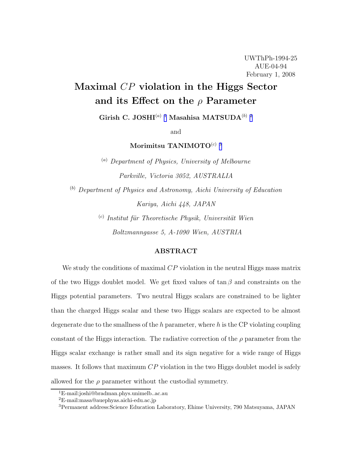# Maximal CP violation in the Higgs Sector and its Effect on the  $\rho$  Parameter

Girish C. JOSHI $^{(a)}$ l Masahisa MATSUDA $^{(b)}$   $^2$ 

and

Morimitsu TANIMOTO $^{(c)}$  3

 $(a)$  Department of Physics, University of Melbourne Parkville, Victoria 3052, AUSTRALIA

 $<sup>(b)</sup>$  Department of Physics and Astronomy, Aichi University of Education</sup> Kariya, Aichi 448, JAPAN

> (c) Institut für Theoretische Physik, Universität Wien Boltzmanngasse 5, A-1090 Wien, AUSTRIA

### ABSTRACT

We study the conditions of maximal  $CP$  violation in the neutral Higgs mass matrix of the two Higgs doublet model. We get fixed values of  $\tan \beta$  and constraints on the Higgs potential parameters. Two neutral Higgs scalars are constrained to be lighter than the charged Higgs scalar and these two Higgs scalars are expected to be almost degenerate due to the smallness of the h parameter, where h is the CP violating coupling constant of the Higgs interaction. The radiative correction of the  $\rho$  parameter from the Higgs scalar exchange is rather small and its sign negative for a wide range of Higgs masses. It follows that maximum  $CP$  violation in the two Higgs doublet model is safely allowed for the  $\rho$  parameter without the custodial symmetry.

<sup>1</sup>E-mail:joshi@bradman.phys.unimelb..ac.au

<sup>2</sup>E-mail:masa@auephyas.aichi-edu.ac.jp

<sup>3</sup>Permanent address:Science Education Laboratory, Ehime University, 790 Matsuyama, JAPAN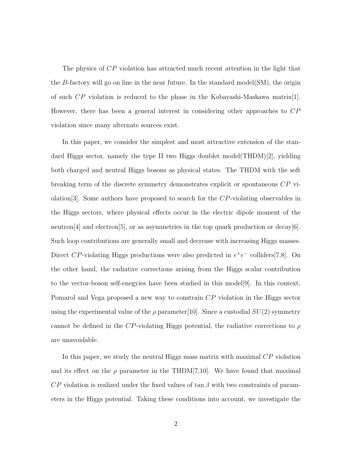The physics of CP violation has attracted much recent attention in the light that the B-factory will go on line in the near future. In the standard model( $SM$ ), the origin of such  $\overline{CP}$  violation is reduced to the phase in the Kobayashi-Maskawa matrix[1]. However, there has been a general interest in considering other approaches to CP violation since many alternate sources exist.

In this paper, we consider the simplest and most attractive extension of the standard Higgs sector, namely the type II two Higgs doublet model(THDM)[2], yielding both charged and neutral Higgs bosons as physical states. The THDM with the soft breaking term of the discrete symmetry demonstrates explicit or spontaneous CP violation  $[3]$ . Some authors have proposed to search for the CP-violating observables in the Higgs sectors, where physical effects occur in the electric dipole moment of the neutron[4] and electron[5], or as asymmetries in the top quark production or decay[6]. Such loop contributions are generally small and decrease with increasing Higgs masses. Direct CP-violating Higgs productions were also predicted in  $e^+e^-$  colliders[7,8]. On the other hand, the radiative corrections arising from the Higgs scalar contribution to the vector-boson self-enegyies have been studied in this model[9]. In this context, Pomarol and Vega proposed a new way to constrain CP violation in the Higgs sector using the experimental value of the  $\rho$  parameter[10]. Since a custodial  $SU(2)$  symmetry cannot be defined in the CP-violating Higgs potential, the radiative corrections to  $\rho$ are unavoidable.

In this paper, we study the neutral Higgs mass matrix with maximal CP violation and its effect on the  $\rho$  parameter in the THDM[7,10]. We have found that maximal  $\overline{CP}$  violation is realized under the fixed values of tan β with two constraints of parameters in the Higgs potential. Taking these conditions into account, we investigate the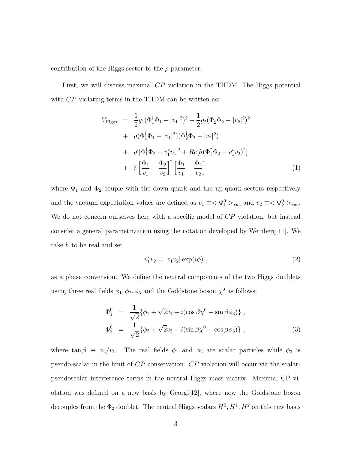contribution of the Higgs sector to the  $\rho$  parameter.

First, we will discuss maximal CP violation in the THDM. The Higgs potential with  $\overline{CP}$  violating terms in the THDM can be written as:

$$
V_{\text{Higgs}} = \frac{1}{2}g_1(\Phi_1^{\dagger}\Phi_1 - |v_1|^2)^2 + \frac{1}{2}g_2(\Phi_2^{\dagger}\Phi_2 - |v_2|^2)^2
$$
  
+  $g(\Phi_1^{\dagger}\Phi_1 - |v_1|^2)(\Phi_2^{\dagger}\Phi_2 - |v_2|^2)$   
+  $g'|\Phi_1^{\dagger}\Phi_2 - v_1^*v_2|^2 + Re[h(\Phi_1^{\dagger}\Phi_2 - v_1^*v_2)^2]$   
+  $\xi \left[\frac{\Phi_1}{v_1} - \frac{\Phi_2}{v_2}\right]^{\dagger} \left[\frac{\Phi_1}{v_1} - \frac{\Phi_2}{v_2}\right]$ , (1)

where  $\Phi_1$  and  $\Phi_2$  couple with the down-quark and the up-quark sectors respectively and the vacuum expectation values are defined as  $v_1 \equiv \langle \Phi_1^0 \rangle_{vac}$  and  $v_2 \equiv \langle \Phi_2^0 \rangle_{vac}$ . We do not concern ourselves here with a specific model of CP violation, but instead consider a general parametrization using the notation developed by Weinberg[11]. We take h to be real and set

$$
v_1^* v_2 = |v_1 v_2| \exp(i\phi) , \qquad (2)
$$

as a phase convension. We define the neutral components of the two Higgs doublets using three real fields  $\phi_1, \phi_2, \phi_3$  and the Goldstone boson  $\chi^0$  as follows:

$$
\Phi_1^0 = \frac{1}{\sqrt{2}} \{ \phi_1 + \sqrt{2} v_1 + i (\cos \beta \chi^0 - \sin \beta \phi_3) \}, \n\Phi_2^0 = \frac{1}{\sqrt{2}} \{ \phi_2 + \sqrt{2} v_2 + i (\sin \beta \chi^0 + \cos \beta \phi_3) \},
$$
\n(3)

where  $\tan \beta \equiv v_2/v_1$ . The real fields  $\phi_1$  and  $\phi_2$  are scalar particles while  $\phi_3$  is pseudo-scalar in the limit of CP conservation. CP violation will occur via the scalarpseudoscalar interference terms in the neutral Higgs mass matrix. Maximal CP violation was defined on a new basis by Georgi[12], where now the Goldstone boson decouples from the  $\Phi_2$  doublet. The neutral Higgs scalars  $H^0, H^1, H^2$  on this new basis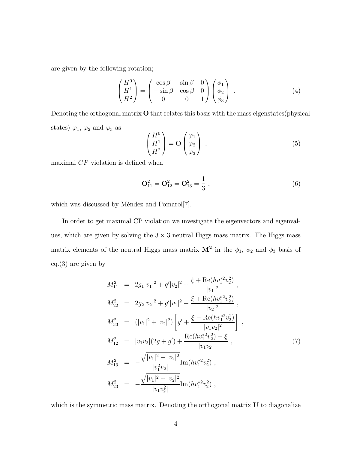are given by the following rotation;

$$
\begin{pmatrix} H^0 \\ H^1 \\ H^2 \end{pmatrix} = \begin{pmatrix} \cos \beta & \sin \beta & 0 \\ -\sin \beta & \cos \beta & 0 \\ 0 & 0 & 1 \end{pmatrix} \begin{pmatrix} \phi_1 \\ \phi_2 \\ \phi_3 \end{pmatrix} . \tag{4}
$$

Denoting the orthogonal matrix O that relates this basis with the mass eigenstates(physical states)  $\varphi_1$ ,  $\varphi_2$  and  $\varphi_3$  as

$$
\begin{pmatrix} H^0 \\ H^1 \\ H^2 \end{pmatrix} = \mathbf{O} \begin{pmatrix} \varphi_1 \\ \varphi_2 \\ \varphi_3 \end{pmatrix} , \qquad (5)
$$

maximal  $CP$  violation is defined when

$$
\mathbf{O}_{11}^2 = \mathbf{O}_{12}^2 = \mathbf{O}_{13}^2 = \frac{1}{3},\tag{6}
$$

which was discussed by Méndez and Pomarol[7].

In order to get maximal CP violation we investigate the eigenvectors and eigenvalues, which are given by solving the  $3 \times 3$  neutral Higgs mass matrix. The Higgs mass matrix elements of the neutral Higgs mass matrix  $\mathbf{M}^2$  in the  $\phi_1$ ,  $\phi_2$  and  $\phi_3$  basis of eq.(3) are given by

$$
M_{11}^{2} = 2g_{1}|v_{1}|^{2} + g'|v_{2}|^{2} + \frac{\xi + \text{Re}(hv_{1}^{*2}v_{2}^{2})}{|v_{1}|^{2}},
$$
  
\n
$$
M_{22}^{2} = 2g_{2}|v_{2}|^{2} + g'|v_{1}|^{2} + \frac{\xi + \text{Re}(hv_{1}^{*2}v_{2}^{2})}{|v_{2}|^{2}},
$$
  
\n
$$
M_{33}^{2} = (|v_{1}|^{2} + |v_{2}|^{2}) \left[g' + \frac{\xi - \text{Re}(hv_{1}^{*2}v_{2}^{2})}{|v_{1}v_{2}|^{2}}\right],
$$
  
\n
$$
M_{12}^{2} = |v_{1}v_{2}|(2g + g') + \frac{\text{Re}(hv_{1}^{*2}v_{2}^{2}) - \xi}{|v_{1}v_{2}|},
$$
  
\n
$$
M_{13}^{2} = -\frac{\sqrt{|v_{1}|^{2} + |v_{2}|^{2}}}{|v_{1}^{2}v_{2}|} \text{Im}(hv_{1}^{*2}v_{2}^{2}),
$$
  
\n
$$
M_{23}^{2} = -\frac{\sqrt{|v_{1}|^{2} + |v_{2}|^{2}}}{|v_{1}v_{2}^{2}|} \text{Im}(hv_{1}^{*2}v_{2}^{2}),
$$
  
\n(7)

which is the symmetric mass matrix. Denoting the orthogonal matrix  $U$  to diagonalize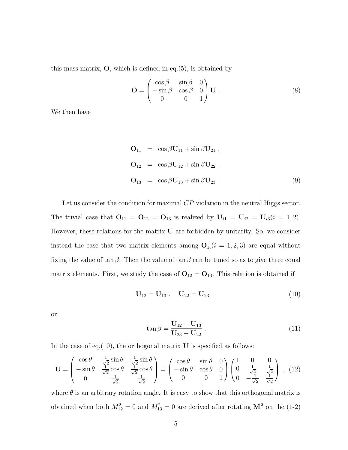this mass matrix,  $\mathbf{O}$ , which is defined in eq.(5), is obtained by

$$
\mathbf{O} = \begin{pmatrix} \cos \beta & \sin \beta & 0 \\ -\sin \beta & \cos \beta & 0 \\ 0 & 0 & 1 \end{pmatrix} \mathbf{U} . \tag{8}
$$

We then have

$$
\mathbf{O}_{11} = \cos \beta \mathbf{U}_{11} + \sin \beta \mathbf{U}_{21} ,
$$
  
\n
$$
\mathbf{O}_{12} = \cos \beta \mathbf{U}_{12} + \sin \beta \mathbf{U}_{22} ,
$$
  
\n
$$
\mathbf{O}_{13} = \cos \beta \mathbf{U}_{13} + \sin \beta \mathbf{U}_{23} .
$$
\n(9)

Let us consider the condition for maximal CP violation in the neutral Higgs sector. The trivial case that  $O_{11} = O_{12} = O_{13}$  is realized by  $U_{i1} = U_{i2} = U_{i3}(i = 1, 2)$ . However, these relations for the matrix U are forbidden by unitarity. So, we consider instead the case that two matrix elements among  $O_{1i}(i = 1, 2, 3)$  are equal without fixing the value of tan  $\beta$ . Then the value of tan  $\beta$  can be tuned so as to give three equal matrix elements. First, we study the case of  $O_{12} = O_{13}$ . This relation is obtained if

$$
U_{12} = U_{13} , U_{22} = U_{23}
$$
 (10)

or

$$
\tan \beta = \frac{\mathbf{U}_{12} - \mathbf{U}_{13}}{\mathbf{U}_{23} - \mathbf{U}_{22}} \,. \tag{11}
$$

In the case of eq.(10), the orthogonal matrix  $U$  is specified as follows:

$$
\mathbf{U} = \begin{pmatrix} \cos \theta & \frac{1}{\sqrt{2}} \sin \theta & \frac{1}{\sqrt{2}} \sin \theta \\ -\sin \theta & \frac{1}{\sqrt{2}} \cos \theta & \frac{1}{\sqrt{2}} \cos \theta \\ 0 & -\frac{1}{\sqrt{2}} & \frac{1}{\sqrt{2}} \end{pmatrix} = \begin{pmatrix} \cos \theta & \sin \theta & 0 \\ -\sin \theta & \cos \theta & 0 \\ 0 & 0 & 1 \end{pmatrix} \begin{pmatrix} 1 & 0 & 0 \\ 0 & \frac{1}{\sqrt{2}} & \frac{1}{\sqrt{2}} \\ 0 & -\frac{1}{\sqrt{2}} & \frac{1}{\sqrt{2}} \end{pmatrix} , (12)
$$

where  $\theta$  is an arbitrary rotation angle. It is easy to show that this orthogonal matrix is obtained when both  $M_{12}^2 = 0$  and  $M_{13}^2 = 0$  are derived after rotating  $\mathbf{M}^2$  on the (1-2)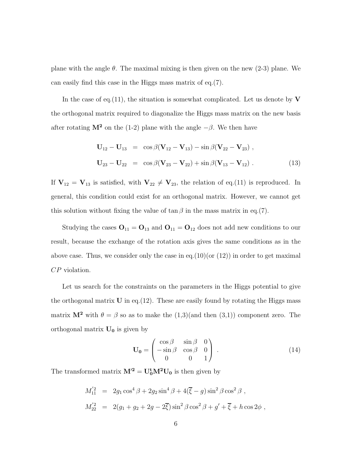plane with the angle  $\theta$ . The maximal mixing is then given on the new (2-3) plane. We can easily find this case in the Higgs mass matrix of eq.(7).

In the case of eq.(11), the situation is somewhat complicated. Let us denote by  $V$ the orthogonal matrix required to diagonalize the Higgs mass matrix on the new basis after rotating  $M^2$  on the (1-2) plane with the angle  $-\beta$ . We then have

$$
U_{12} - U_{13} = \cos \beta (V_{12} - V_{13}) - \sin \beta (V_{22} - V_{23}),
$$
  
\n
$$
U_{23} - U_{22} = \cos \beta (V_{23} - V_{22}) + \sin \beta (V_{13} - V_{12}).
$$
\n(13)

If  $V_{12} = V_{13}$  is satisfied, with  $V_{22} \neq V_{23}$ , the relation of eq.(11) is reproduced. In general, this condition could exist for an orthogonal matrix. However, we cannot get this solution without fixing the value of  $\tan \beta$  in the mass matrix in eq.(7).

Studying the cases  $O_{11} = O_{13}$  and  $O_{11} = O_{12}$  does not add new conditions to our result, because the exchange of the rotation axis gives the same conditions as in the above case. Thus, we consider only the case in eq.  $(10)(\text{or } (12))$  in order to get maximal CP violation.

Let us search for the constraints on the parameters in the Higgs potential to give the orthogonal matrix  $U$  in eq. (12). These are easily found by rotating the Higgs mass matrix  $M^2$  with  $\theta = \beta$  so as to make the  $(1,3)($  and then  $(3,1))$  component zero. The orthogonal matrix  $U_0$  is given by

$$
\mathbf{U_0} = \begin{pmatrix} \cos \beta & \sin \beta & 0 \\ -\sin \beta & \cos \beta & 0 \\ 0 & 0 & 1 \end{pmatrix} . \tag{14}
$$

The transformed matrix  $M^2 = U_0^t M^2 U_0$  is then given by

$$
M_{11}^{'2} = 2g_1 \cos^4 \beta + 2g_2 \sin^4 \beta + 4(\overline{\xi} - g) \sin^2 \beta \cos^2 \beta ,
$$
  

$$
M_{22}^{'2} = 2(g_1 + g_2 + 2g - 2\overline{\xi}) \sin^2 \beta \cos^2 \beta + g' + \overline{\xi} + h \cos 2\phi ,
$$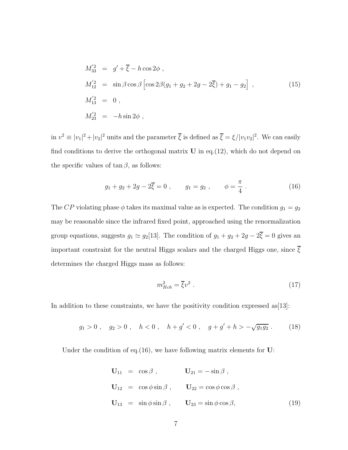$$
M'_{33} = g' + \overline{\xi} - h \cos 2\phi ,
$$
  
\n
$$
M'_{12} = \sin \beta \cos \beta \left[ \cos 2\beta (g_1 + g_2 + 2g - 2\overline{\xi}) + g_1 - g_2 \right] ,
$$
  
\n
$$
M'_{13} = 0 ,
$$
  
\n
$$
M'_{23} = -h \sin 2\phi ,
$$
\n(15)

in  $v^2 \equiv |v_1|^2 + |v_2|^2$  units and the parameter  $\overline{\xi}$  is defined as  $\overline{\xi} = \xi/|v_1v_2|^2$ . We can easily find conditions to derive the orthogonal matrix  $U$  in eq.  $(12)$ , which do not depend on the specific values of  $\tan \beta$ , as follows:

$$
g_1 + g_2 + 2g - 2\overline{\xi} = 0
$$
,  $g_1 = g_2$ ,  $\phi = \frac{\pi}{4}$ . (16)

The CP violating phase  $\phi$  takes its maximal value as is expected. The condition  $g_1 = g_2$ may be reasonable since the infrared fixed point, approached using the renormalization group equations, suggests  $g_1 \simeq g_2[13]$ . The condition of  $g_1 + g_2 + 2g - 2\overline{\xi} = 0$  gives an important constraint for the neutral Higgs scalars and the charged Higgs one, since  $\overline{\xi}$ determines the charged Higgs mass as follows:

$$
m_{Hch}^2 = \overline{\xi}v^2 \tag{17}
$$

In addition to these constraints, we have the positivity condition expressed as  $[13]$ :

$$
g_1 > 0
$$
,  $g_2 > 0$ ,  $h < 0$ ,  $h + g' < 0$ ,  $g + g' + h > -\sqrt{g_1 g_2}$ . (18)

Under the condition of eq.  $(16)$ , we have following matrix elements for U:

$$
\mathbf{U}_{11} = \cos \beta , \qquad \mathbf{U}_{21} = -\sin \beta ,
$$
  
\n
$$
\mathbf{U}_{12} = \cos \phi \sin \beta , \qquad \mathbf{U}_{22} = \cos \phi \cos \beta ,
$$
  
\n
$$
\mathbf{U}_{13} = \sin \phi \sin \beta , \qquad \mathbf{U}_{23} = \sin \phi \cos \beta , \qquad (19)
$$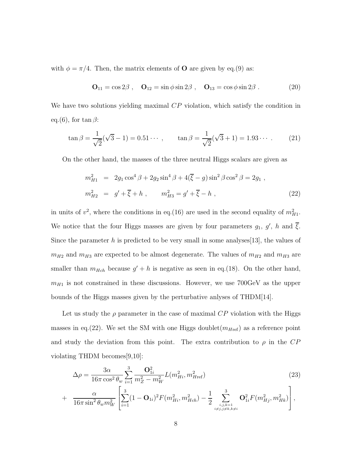with  $\phi = \pi/4$ . Then, the matrix elements of **O** are given by eq.(9) as:

$$
\mathbf{O}_{11} = \cos 2\beta \;, \quad \mathbf{O}_{12} = \sin \phi \sin 2\beta \;, \quad \mathbf{O}_{13} = \cos \phi \sin 2\beta \;.
$$
 (20)

We have two solutions yielding maximal CP violation, which satisfy the condition in eq.(6), for  $\tan \beta$ :

$$
\tan \beta = \frac{1}{\sqrt{2}} (\sqrt{3} - 1) = 0.51 \cdots , \qquad \tan \beta = \frac{1}{\sqrt{2}} (\sqrt{3} + 1) = 1.93 \cdots . \tag{21}
$$

On the other hand, the masses of the three neutral Higgs scalars are given as

$$
m_{H1}^2 = 2g_1 \cos^4 \beta + 2g_2 \sin^4 \beta + 4(\overline{\xi} - g) \sin^2 \beta \cos^2 \beta = 2g_1 ,
$$
  

$$
m_{H2}^2 = g' + \overline{\xi} + h , \qquad m_{H3}^2 = g' + \overline{\xi} - h ,
$$
 (22)

in units of  $v^2$ , where the conditions in eq.(16) are used in the second equality of  $m_{H1}^2$ . We notice that the four Higgs masses are given by four parameters  $g_1, g', h$  and  $\xi$ . Since the parameter h is predicted to be very small in some analyses [13], the values of  $m_{H2}$  and  $m_{H3}$  are expected to be almost degenerate. The values of  $m_{H2}$  and  $m_{H3}$  are smaller than  $m_{Hch}$  because  $g' + h$  is negative as seen in eq.(18). On the other hand,  $m_{H1}$  is not constrained in these discussions. However, we use 700GeV as the upper bounds of the Higgs masses given by the perturbative anlyses of THDM[14].

Let us study the  $\rho$  parameter in the case of maximal  $CP$  violation with the Higgs masses in eq.(22). We set the SM with one Higgs doublet $(m_{Href})$  as a reference point and study the deviation from this point. The extra contribution to  $\rho$  in the CP violating THDM becomes[9,10]:

$$
\Delta \rho = \frac{3\alpha}{16\pi \cos^2 \theta_w} \sum_{i=1}^3 \frac{\mathbf{O}_{1i}^2}{m_Z^2 - m_W^2} L(m_{Hi}^2, m_{Href}^2)
$$
(23)

$$
+ \frac{\alpha}{16\pi \sin^2 \theta_w m_W^2} \left[ \sum_{i=1}^3 (1 - \mathbf{O}_{1i})^2 F(m_{Hi}^2, m_{Hch}^2) - \frac{1}{2} \sum_{\substack{i,j,k=1 \ i \neq j,j \neq k,k \neq i}}^3 \mathbf{O}_{1i}^2 F(m_{Hj}^2, m_{Hk}^2) \right],
$$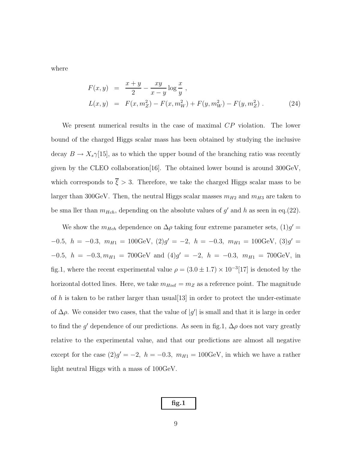where

$$
F(x,y) = \frac{x+y}{2} - \frac{xy}{x-y} \log \frac{x}{y},
$$
  
\n
$$
L(x,y) = F(x,m_Z^2) - F(x,m_W^2) + F(y,m_W^2) - F(y,m_Z^2).
$$
\n(24)

We present numerical results in the case of maximal CP violation. The lower bound of the charged Higgs scalar mass has been obtained by studying the inclusive decay  $B \to X_s \gamma$ [15], as to which the upper bound of the branching ratio was recently given by the CLEO collaboration[16]. The obtained lower bound is around 300GeV, which corresponds to  $\overline{\xi} > 3$ . Therefore, we take the charged Higgs scalar mass to be larger than 300GeV. Then, the neutral Higgs scalar masses  $m_{H2}$  and  $m_{H3}$  are taken to be sma ller than  $m_{Hch}$ , depending on the absolute values of  $g'$  and h as seen in eq.(22).

We show the  $m_{Hch}$  dependence on  $\Delta \rho$  taking four extreme parameter sets,  $(1)g' =$  $-0.5, h = -0.3, m_{H1} = 100 \text{GeV}, (2)g' = -2, h = -0.3, m_{H1} = 100 \text{GeV}, (3)g' =$  $-0.5, h = -0.3, m_{H1} = 700 \text{GeV}$  and  $(4)g' = -2, h = -0.3, m_{H1} = 700 \text{GeV}$ , in fig.1, where the recent experimental value  $\rho = (3.0 \pm 1.7) \times 10^{-3} [17]$  is denoted by the horizontal dotted lines. Here, we take  $m_{Href} = m_Z$  as a reference point. The magnitude of h is taken to be rather larger than usual  $[13]$  in order to protect the under-estimate of  $\Delta \rho$ . We consider two cases, that the value of  $|g'|$  is small and that it is large in order to find the g' dependence of our predictions. As seen in fig.1,  $\Delta \rho$  does not vary greatly relative to the experimental value, and that our predictions are almost all negative except for the case  $(2)g' = -2$ ,  $h = -0.3$ ,  $m_{H1} = 100 \text{GeV}$ , in which we have a rather light neutral Higgs with a mass of 100GeV.

| Πg. |
|-----|
|-----|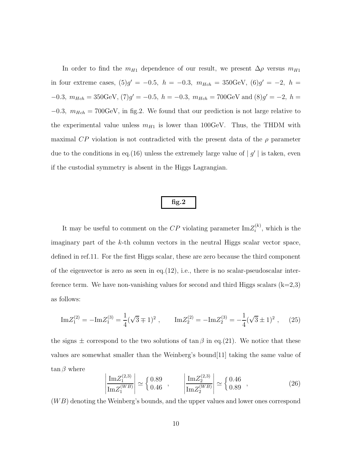In order to find the  $m_{H1}$  dependence of our result, we present  $\Delta \rho$  versus  $m_{H1}$ in four extreme cases,  $(5)g' = -0.5$ ,  $h = -0.3$ ,  $m_{Hch} = 350 \text{GeV}$ ,  $(6)g' = -2$ ,  $h =$  $-0.3, m_{Hch} = 350 \text{GeV}, (7) g' = -0.5, h = -0.3, m_{Hch} = 700 \text{GeV} \text{ and } (8) g' = -2, h =$  $-0.3$ ,  $m_{Hch} = 700 \text{GeV}$ , in fig.2. We found that our prediction is not large relative to the experimental value unless  $m_{H1}$  is lower than 100GeV. Thus, the THDM with maximal CP violation is not contradicted with the present data of the  $\rho$  parameter due to the conditions in eq.(16) unless the extremely large value of  $|g'|$  is taken, even if the custodial symmetry is absent in the Higgs Lagrangian.

## fig.2

It may be useful to comment on the  $\mathbb{CP}$  violating parameter  $\text{Im}Z_i^{(k)}$  $i^{(\kappa)}$ , which is the imaginary part of the k-th column vectors in the neutral Higgs scalar vector space, defined in ref.11. For the first Higgs scalar, these are zero because the third component of the eigenvector is zero as seen in eq.  $(12)$ , i.e., there is no scalar-pseudoscalar interference term. We have non-vanishing values for second and third Higgs scalars  $(k=2,3)$ as follows:

$$
\mathrm{Im} Z_1^{(2)} = -\mathrm{Im} Z_1^{(3)} = \frac{1}{4} (\sqrt{3} \mp 1)^2 , \qquad \mathrm{Im} Z_2^{(2)} = -\mathrm{Im} Z_2^{(3)} = -\frac{1}{4} (\sqrt{3} \pm 1)^2 , \qquad (25)
$$

the signs  $\pm$  correspond to the two solutions of tan  $\beta$  in eq.(21). We notice that these values are somewhat smaller than the Weinberg's bound[11] taking the same value of  $\tan \beta$  where

$$
\left| \frac{\mathrm{Im} Z_1^{(2,3)}}{\mathrm{Im} Z_1^{(WB)}} \right| \simeq \begin{cases} 0.89\\ 0.46 \end{cases}, \qquad \left| \frac{\mathrm{Im} Z_2^{(2,3)}}{\mathrm{Im} Z_2^{(WB)}} \right| \simeq \begin{cases} 0.46\\ 0.89 \end{cases}, \tag{26}
$$

 $(WB)$  denoting the Weinberg's bounds, and the upper values and lower ones correspond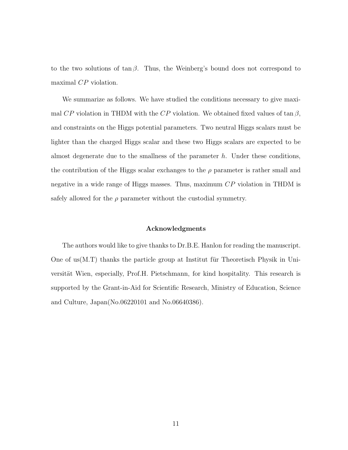to the two solutions of  $tan \beta$ . Thus, the Weinberg's bound does not correspond to maximal CP violation.

We summarize as follows. We have studied the conditions necessary to give maximal CP violation in THDM with the CP violation. We obtained fixed values of tan  $\beta$ , and constraints on the Higgs potential parameters. Two neutral Higgs scalars must be lighter than the charged Higgs scalar and these two Higgs scalars are expected to be almost degenerate due to the smallness of the parameter  $h$ . Under these conditions, the contribution of the Higgs scalar exchanges to the  $\rho$  parameter is rather small and negative in a wide range of Higgs masses. Thus, maximum  $\mathbb{CP}$  violation in THDM is safely allowed for the  $\rho$  parameter without the custodial symmetry.

#### Acknowledgments

The authors would like to give thanks to Dr.B.E. Hanlon for reading the manuscript. One of us $(M.T)$  thanks the particle group at Institut für Theoretisch Physik in Universität Wien, especially, Prof.H. Pietschmann, for kind hospitality. This research is supported by the Grant-in-Aid for Scientific Research, Ministry of Education, Science and Culture, Japan(No.06220101 and No.06640386).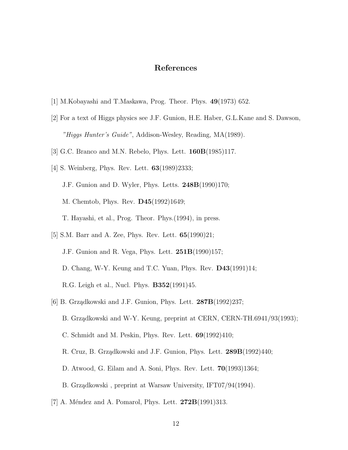## References

- [1] M.Kobayashi and T.Maskawa, Prog. Theor. Phys. 49(1973) 652.
- [2] For a text of Higgs physics see J.F. Gunion, H.E. Haber, G.L.Kane and S. Dawson, "Higgs Hunter's Guide", Addison-Wesley, Reading, MA(1989).
- [3] G.C. Branco and M.N. Rebelo, Phys. Lett. 160B(1985)117.
- [4] S. Weinberg, Phys. Rev. Lett. 63(1989)2333; J.F. Gunion and D. Wyler, Phys. Letts. 248B(1990)170; M. Chemtob, Phys. Rev. D45(1992)1649; T. Hayashi, et al., Prog. Theor. Phys.(1994), in press.
- [5] S.M. Barr and A. Zee, Phys. Rev. Lett. 65(1990)21; J.F. Gunion and R. Vega, Phys. Lett.  $251B(1990)157$ ; D. Chang, W-Y. Keung and T.C. Yuan, Phys. Rev. D43(1991)14; R.G. Leigh et al., Nucl. Phys. B352(1991)45.
- [6] B. Grządkowski and J.F. Gunion, Phys. Lett.  $287B(1992)237$ ; B. Grządkowski and W-Y. Keung, preprint at CERN, CERN-TH.6941/93(1993); C. Schmidt and M. Peskin, Phys. Rev. Lett.  $69(1992)410$ ; R. Cruz, B. Grządkowski and J.F. Gunion, Phys. Lett. 289B(1992)440; D. Atwood, G. Eilam and A. Soni, Phys. Rev. Lett. 70(1993)1364; B. Grządkowski, preprint at Warsaw University, IFT07/94(1994).
- [7] A. Méndez and A. Pomarol, Phys. Lett.  $272B(1991)313$ .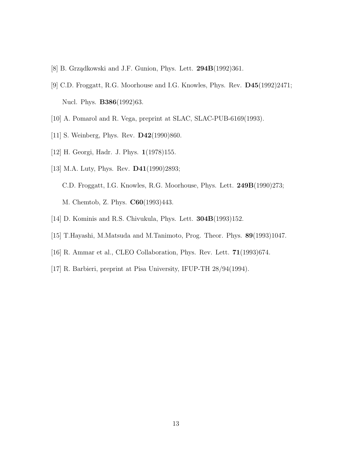- [8] B. Grządkowski and J.F. Gunion, Phys. Lett. 294B(1992)361.
- [9] C.D. Froggatt, R.G. Moorhouse and I.G. Knowles, Phys. Rev. D45(1992)2471; Nucl. Phys. **B386**(1992)63.
- [10] A. Pomarol and R. Vega, preprint at SLAC, SLAC-PUB-6169(1993).
- [11] S. Weinberg, Phys. Rev. **D42**(1990)860.
- [12] H. Georgi, Hadr. J. Phys. 1(1978)155.
- [13] M.A. Luty, Phys. Rev. **D41**(1990)2893; C.D. Froggatt, I.G. Knowles, R.G. Moorhouse, Phys. Lett. 249B(1990)273; M. Chemtob, Z. Phys. C60(1993)443.
- [14] D. Kominis and R.S. Chivukula, Phys. Lett. 304B(1993)152.
- [15] T.Hayashi, M.Matsuda and M.Tanimoto, Prog. Theor. Phys. 89(1993)1047.
- [16] R. Ammar et al., CLEO Collaboration, Phys. Rev. Lett. 71(1993)674.
- [17] R. Barbieri, preprint at Pisa University, IFUP-TH 28/94(1994).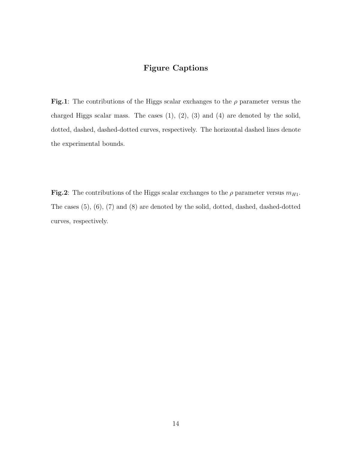## Figure Captions

Fig.1: The contributions of the Higgs scalar exchanges to the  $\rho$  parameter versus the charged Higgs scalar mass. The cases  $(1)$ ,  $(2)$ ,  $(3)$  and  $(4)$  are denoted by the solid, dotted, dashed, dashed-dotted curves, respectively. The horizontal dashed lines denote the experimental bounds.

Fig.2: The contributions of the Higgs scalar exchanges to the  $\rho$  parameter versus  $m_{H1}$ . The cases (5), (6), (7) and (8) are denoted by the solid, dotted, dashed, dashed-dotted curves, respectively.